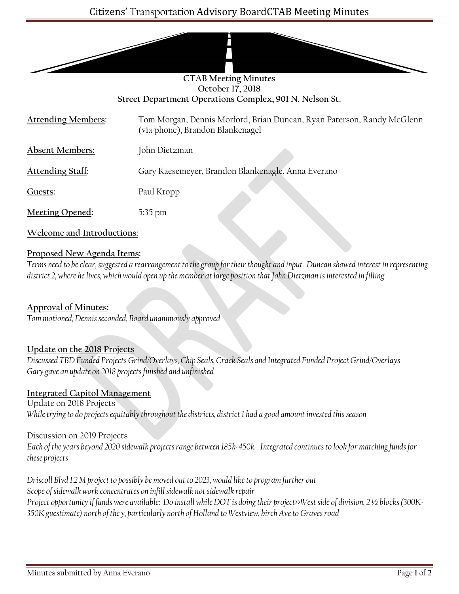|                                                         | <b>CTAB Meeting Minutes</b>                                                                                |
|---------------------------------------------------------|------------------------------------------------------------------------------------------------------------|
| October 17, 2018                                        |                                                                                                            |
| Street Department Operations Complex, 901 N. Nelson St. |                                                                                                            |
| <b>Attending Members:</b>                               | Tom Morgan, Dennis Morford, Brian Duncan, Ryan Paterson, Randy McGlenn<br>(via phone), Brandon Blankenagel |
| <b>Absent Members:</b>                                  | John Dietzman                                                                                              |
| <b>Attending Staff:</b>                                 | Gary Kaesemeyer, Brandon Blankenagle, Anna Everano                                                         |
| Guests:                                                 | Paul Kropp                                                                                                 |
| Meeting Opened:                                         | $5:35$ pm                                                                                                  |
| Welcome and Introductions:                              |                                                                                                            |

#### **Proposed New Agenda Items:**

*Terms need to be clear, suggested a rearrangement to the group for their thought and input. Duncan showed interest in representing district 2, where he lives, which would open up the member at large position that John Dietzman is interested in filling*

**Approval of Minutes:** *Tom motioned, Dennis seconded, Board unanimously approved*

# **Update on the 2018 Projects**

*Discussed TBD Funded Projects Grind/Overlays, Chip Seals, Crack Seals and Integrated Funded Project Grind/Overlays Gary gave an update on 2018 projects finished and unfinished*

#### **Integrated Capitol Management**

Update on 2018 Projects *While trying to do projects equitably throughout the districts, district 1 had a good amount invested this season*

Discussion on 2019 Projects

*Each of the years beyond 2020 sidewalk projects range between 185k-450k. Integrated continues to look for matching funds for these projects*

*Driscoll Blvd 1.2 M project to possibly be moved out to 2023, would like to program further out Scope of sidewalk work concentrates on infill sidewalk not sidewalk repair Project opportunity if funds were available: Do install while DOT is doing their project>>West side of division, 2 ½ blocks (300K-350K guestimate) north of the y, particularly north of Holland to Westview, birch Ave to Graves road*